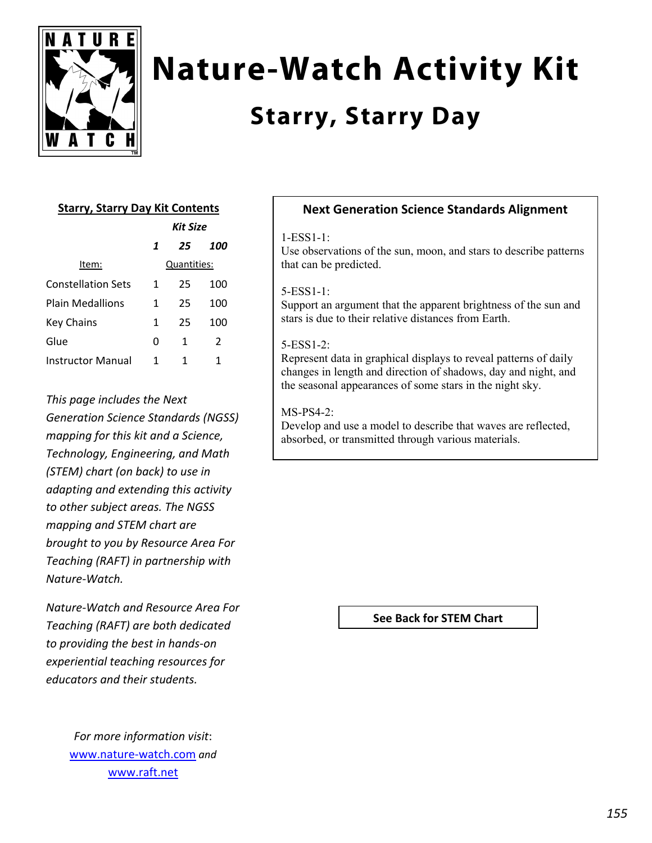

# **Nature-Watch Activity Kit**

# **Starry, Starry Day**

## **Starry, Starry Day Kit Contents**

|                    | Kit Size |             |     |
|--------------------|----------|-------------|-----|
|                    | 1        | 25          | 100 |
| Item:              |          | Quantities: |     |
| Constellation Sets | 1        | 25          | 100 |
| Plain Medallions   | 1        | 25          | 100 |
| Key Chains         | 1        | 25          | 100 |
| Glue               | 0        | 1           | 2   |
| Instructor Manual  | 1        | 1           | 1   |

*This page includes the Next Generation Science Standards (NGSS) mapping for this kit and a Science, Technology, Engineering, and Math (STEM) chart (on back) to use in adapting and extending this activity to other subject areas. The NGSS mapping and STEM chart are brought to you by Resource Area For Teaching (RAFT) in partnership with Nature‐Watch.* 

*Nature‐Watch and Resource Area For Teaching (RAFT) are both dedicated to providing the best in hands‐on experiential teaching resources for educators and their students.*

> *For more information visit*: www.nature‐watch.com *and* www.raft.net

### **Next Generation Science Standards Alignment**

#### 1-ESS1-1:

Use observations of the sun, moon, and stars to describe patterns that can be predicted.

#### 5-ESS1-1:

Support an argument that the apparent brightness of the sun and stars is due to their relative distances from Earth.

#### 5-ESS1-2:

Represent data in graphical displays to reveal patterns of daily changes in length and direction of shadows, day and night, and the seasonal appearances of some stars in the night sky.

#### $MS-PS4-2$

Develop and use a model to describe that waves are reflected, absorbed, or transmitted through various materials.

#### **See Back for STEM Chart**